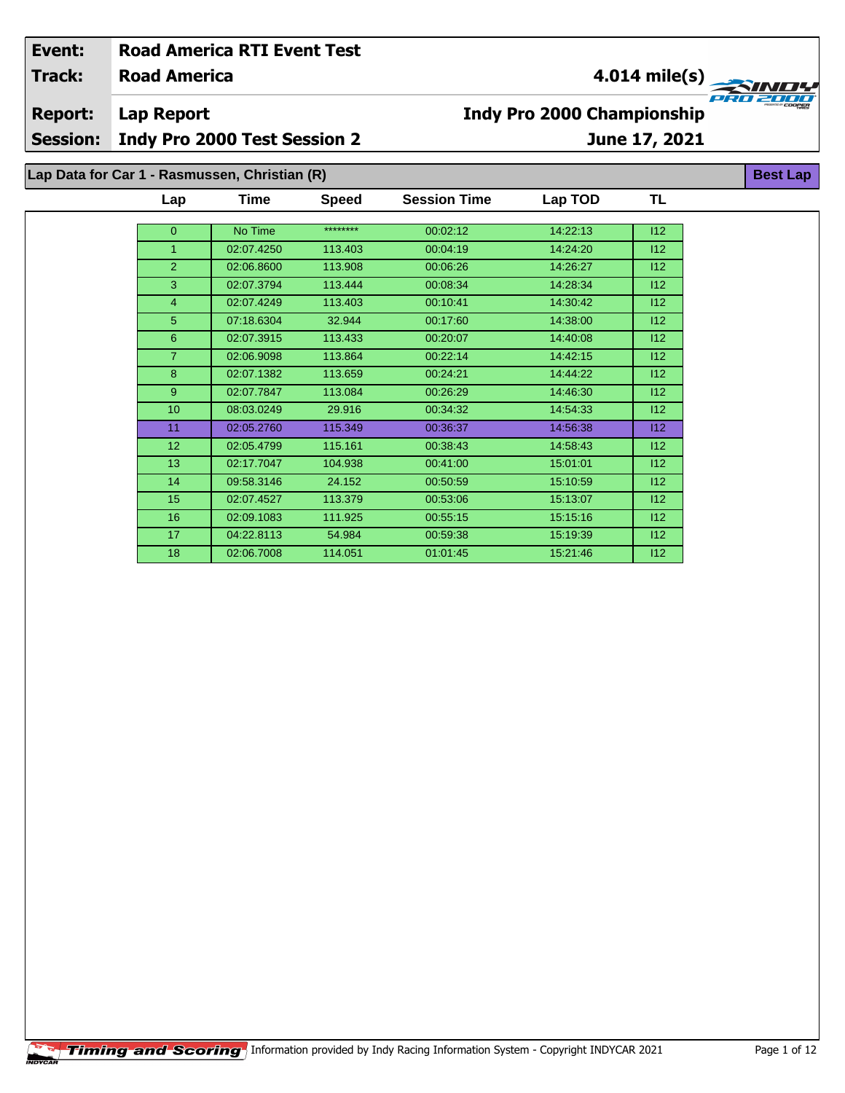| Event:          |                                               | <b>Road America RTI Event Test</b>  |              |                                   |               |           |                 |  |
|-----------------|-----------------------------------------------|-------------------------------------|--------------|-----------------------------------|---------------|-----------|-----------------|--|
| <b>Track:</b>   | <b>Road America</b>                           |                                     |              | $4.014$ mile(s)                   |               |           |                 |  |
| <b>Report:</b>  | Lap Report                                    |                                     |              | <b>Indy Pro 2000 Championship</b> |               |           |                 |  |
| <b>Session:</b> |                                               | <b>Indy Pro 2000 Test Session 2</b> |              |                                   | June 17, 2021 |           |                 |  |
|                 | Lap Data for Car 1 - Rasmussen, Christian (R) |                                     |              |                                   |               |           | <b>Best Lap</b> |  |
|                 | Lap                                           | Time                                | <b>Speed</b> | <b>Session Time</b>               | Lap TOD       | <b>TL</b> |                 |  |
|                 | $\overline{0}$                                | No Time                             | ********     | 00:02:12                          | 14:22:13      | 112       |                 |  |
|                 |                                               | 02:07.4250                          | 113.403      | 00:04:19                          | 14:24:20      | 112       |                 |  |
|                 | $\overline{2}$                                | 02:06.8600                          | 113.908      | 00:06:26                          | 14:26:27      | 112       |                 |  |
|                 | 3                                             | 02:07.3794                          | 113.444      | 00:08:34                          | 14:28:34      | 112       |                 |  |
|                 | 4                                             | 02:07.4249                          | 113.403      | 00:10:41                          | 14:30:42      | 112       |                 |  |
|                 | 5                                             | 07:18.6304                          | 32.944       | 00:17:60                          | 14:38:00      | 112       |                 |  |
|                 | 6                                             | 02:07.3915                          | 113.433      | 00:20:07                          | 14:40:08      | 112       |                 |  |
|                 | 7.                                            | 02:06.9098                          | 113.864      | 00:22:14                          | 14:42:15      | 112       |                 |  |

8 02:07.1382 113.659 00:24:21 14:44:22 112 9 02:07.7847 113.084 00:26:29 14:46:30 112 08:03.0249 29.916 00:34:32 14:54:33 I12 02:05.2760 115.349 00:36:37 14:56:38 I12 02:05.4799 115.161 00:38:43 14:58:43 I12 02:17.7047 104.938 00:41:00 15:01:01 I12 09:58.3146 24.152 00:50:59 15:10:59 I12 02:07.4527 113.379 00:53:06 15:13:07 I12 02:09.1083 111.925 00:55:15 15:15:16 I12 04:22.8113 54.984 00:59:38 15:19:39 I12 02:06.7008 114.051 01:01:45 15:21:46 I12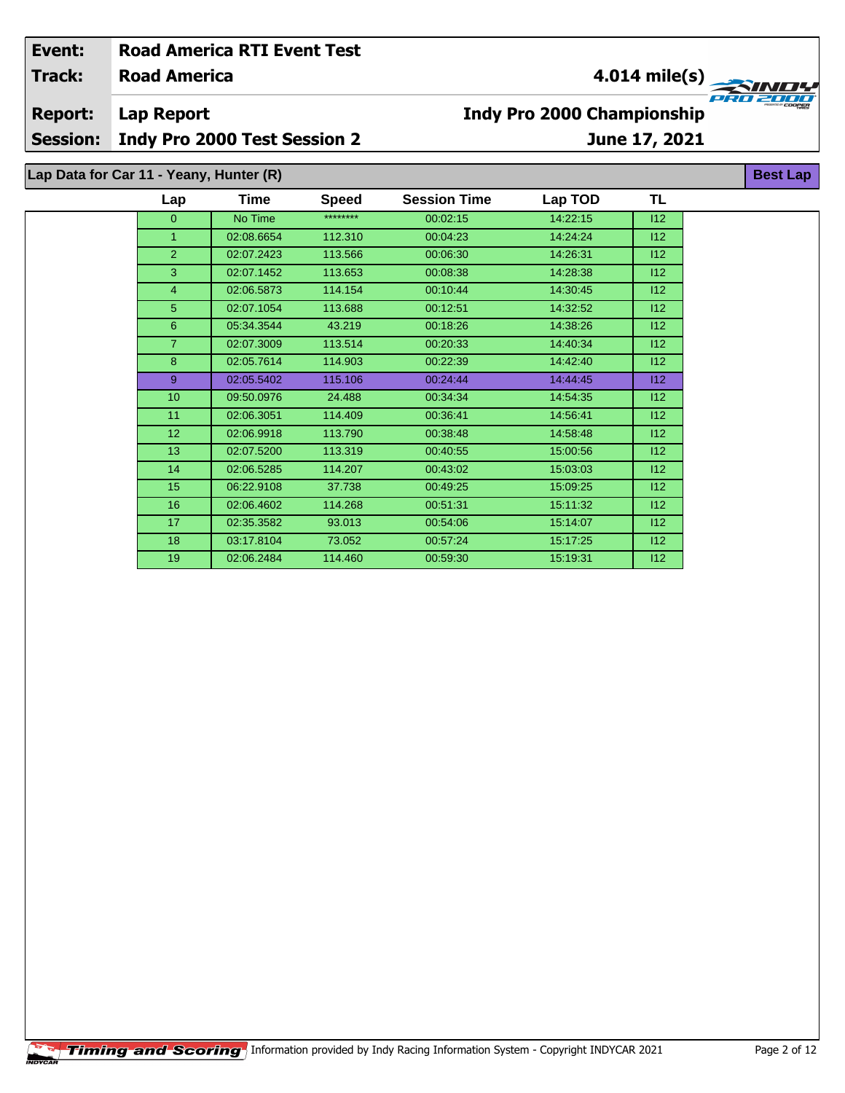| Event:                                  |                              | <b>Road America RTI Event Test</b> |              |                                   |                           |               |  |  |  |  |  |
|-----------------------------------------|------------------------------|------------------------------------|--------------|-----------------------------------|---------------------------|---------------|--|--|--|--|--|
| <b>Track:</b>                           | <b>Road America</b>          |                                    |              |                                   | $4.014$ mile(s)<br>INITY. |               |  |  |  |  |  |
| <b>Report:</b>                          | Lap Report                   |                                    |              | <b>Indy Pro 2000 Championship</b> | PRO 2001                  |               |  |  |  |  |  |
| <b>Session:</b>                         | Indy Pro 2000 Test Session 2 |                                    |              |                                   |                           | June 17, 2021 |  |  |  |  |  |
| Lap Data for Car 11 - Yeany, Hunter (R) |                              |                                    |              |                                   |                           |               |  |  |  |  |  |
|                                         | Lap                          | Time                               | <b>Speed</b> | <b>Session Time</b>               | Lap TOD                   | TL            |  |  |  |  |  |
|                                         | $\mathbf{0}$                 | No Time                            | ********     | 00:02:15                          | 14:22:15                  | 112           |  |  |  |  |  |
|                                         |                              | 02:08.6654                         | 112.310      | 00:04:23                          | 14:24:24                  | 112           |  |  |  |  |  |
|                                         | 2                            | 02:07.2423                         | 113.566      | 00:06:30                          | 14:26:31                  | 112           |  |  |  |  |  |
|                                         | 3                            | 02:07.1452                         | 113.653      | 00:08:38                          | 14:28:38                  | 112           |  |  |  |  |  |
|                                         | 4                            | 02:06.5873                         | 114.154      | 00:10:44                          | 14:30:45                  | 112           |  |  |  |  |  |
|                                         | 5                            | 02:07.1054                         | 113.688      | 00:12:51                          | 14:32:52                  | 112           |  |  |  |  |  |

 05:34.3544 43.219 00:18:26 14:38:26 I12 02:07.3009 113.514 00:20:33 14:40:34 I12 8 02:05.7614 114.903 00:22:39 14:42:40 112 02:05.5402 115.106 00:24:44 14:44:45 I12 09:50.0976 24.488 00:34:34 14:54:35 I12 11 02:06.3051 114.409 00:36:41 14:56:41 14:56:41 12 02:06.9918 113.790 00:38:48 14:58:48 I12 13 02:07.5200 113.319 00:40:55 15:00:56 112 02:06.5285 114.207 00:43:02 15:03:03 I12 06:22.9108 37.738 00:49:25 15:09:25 I12 16 02:06.4602 114.268 00:51:31 15:11:32 112 02:35.3582 93.013 00:54:06 15:14:07 I12 03:17.8104 73.052 00:57:24 15:17:25 I12 02:06.2484 114.460 00:59:30 15:19:31 I12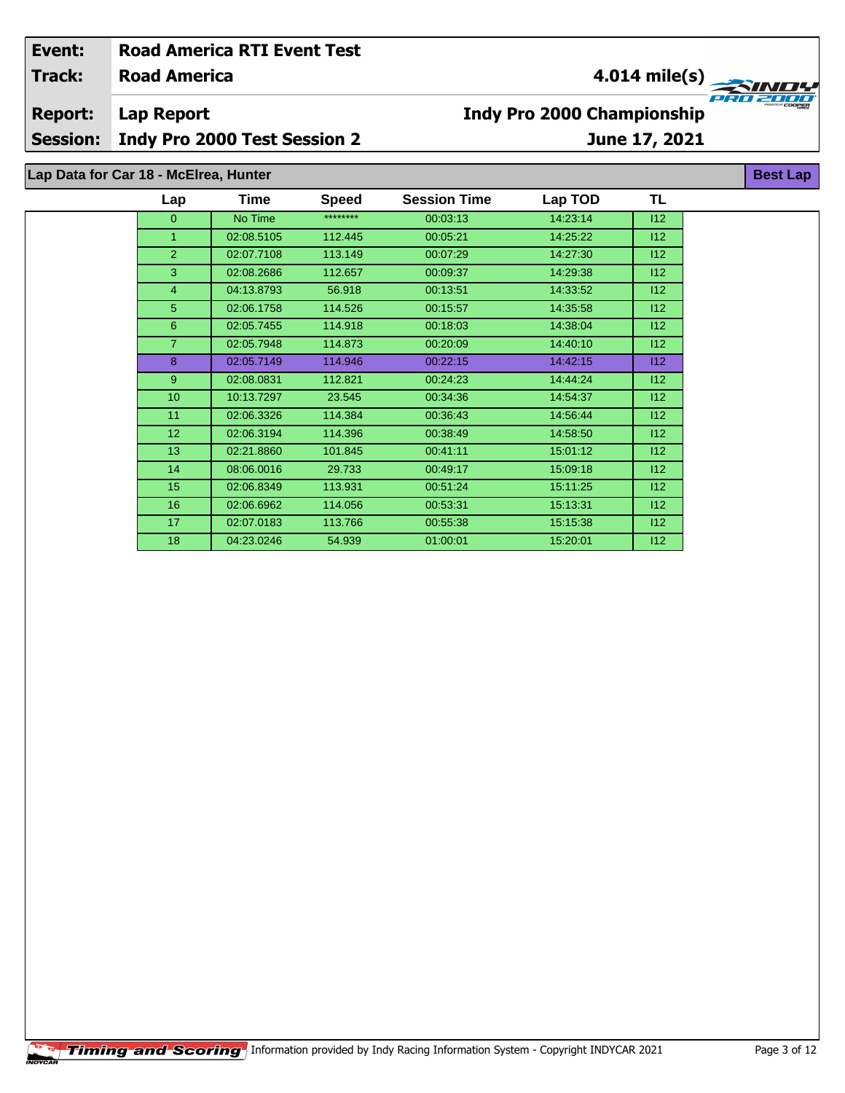| Event:                                |                     | <b>Road America RTI Event Test</b> |              |                                               |          |               |  |  |  |
|---------------------------------------|---------------------|------------------------------------|--------------|-----------------------------------------------|----------|---------------|--|--|--|
| <b>Track:</b>                         | <b>Road America</b> |                                    |              | $4.014$ mile(s)<br>WD4                        |          |               |  |  |  |
| <b>Report:</b>                        | Lap Report          |                                    |              | PRO 2000<br><b>Indy Pro 2000 Championship</b> |          |               |  |  |  |
| <b>Session:</b>                       |                     | Indy Pro 2000 Test Session 2       |              |                                               |          | June 17, 2021 |  |  |  |
| Lap Data for Car 18 - McElrea, Hunter |                     |                                    |              |                                               |          |               |  |  |  |
|                                       | Lap                 | Time                               | <b>Speed</b> | <b>Session Time</b>                           | Lap TOD  | TL            |  |  |  |
|                                       | $\Omega$            | No Time                            | ********     | 00:03:13                                      | 14:23:14 | 112           |  |  |  |
|                                       |                     | 02:08.5105                         | 112.445      | 00:05:21                                      | 14:25:22 | 112           |  |  |  |
|                                       | $\overline{2}$      | 02:07.7108                         | 113.149      | 00:07:29                                      | 14:27:30 | 112           |  |  |  |
|                                       | 3                   | 02:08.2686                         | 112.657      | 00:09:37                                      | 14:29:38 | 112           |  |  |  |
|                                       | 4                   | 04:13.8793                         | 56.918       | 00:13:51                                      | 14:33:52 | 112           |  |  |  |
|                                       | 5.                  | 02:06.1758                         | 114.526      | 00:15:57                                      | 14:35:58 | 112           |  |  |  |

 02:05.7455 114.918 00:18:03 14:38:04 I12 02:05.7948 114.873 00:20:09 14:40:10 I12 02:05.7149 114.946 00:22:15 14:42:15 I12 02:08.0831 112.821 00:24:23 14:44:24 I12 10:13.7297 23.545 00:34:36 14:54:37 I12 02:06.3326 114.384 00:36:43 14:56:44 I12 02:06.3194 114.396 00:38:49 14:58:50 I12 13 02:21.8860 101.845 00:41:11 15:01:12 112 08:06.0016 29.733 00:49:17 15:09:18 I12 02:06.8349 113.931 00:51:24 15:11:25 I12 02:06.6962 114.056 00:53:31 15:13:31 I12 02:07.0183 113.766 00:55:38 15:15:38 I12 04:23.0246 54.939 01:00:01 15:20:01 I12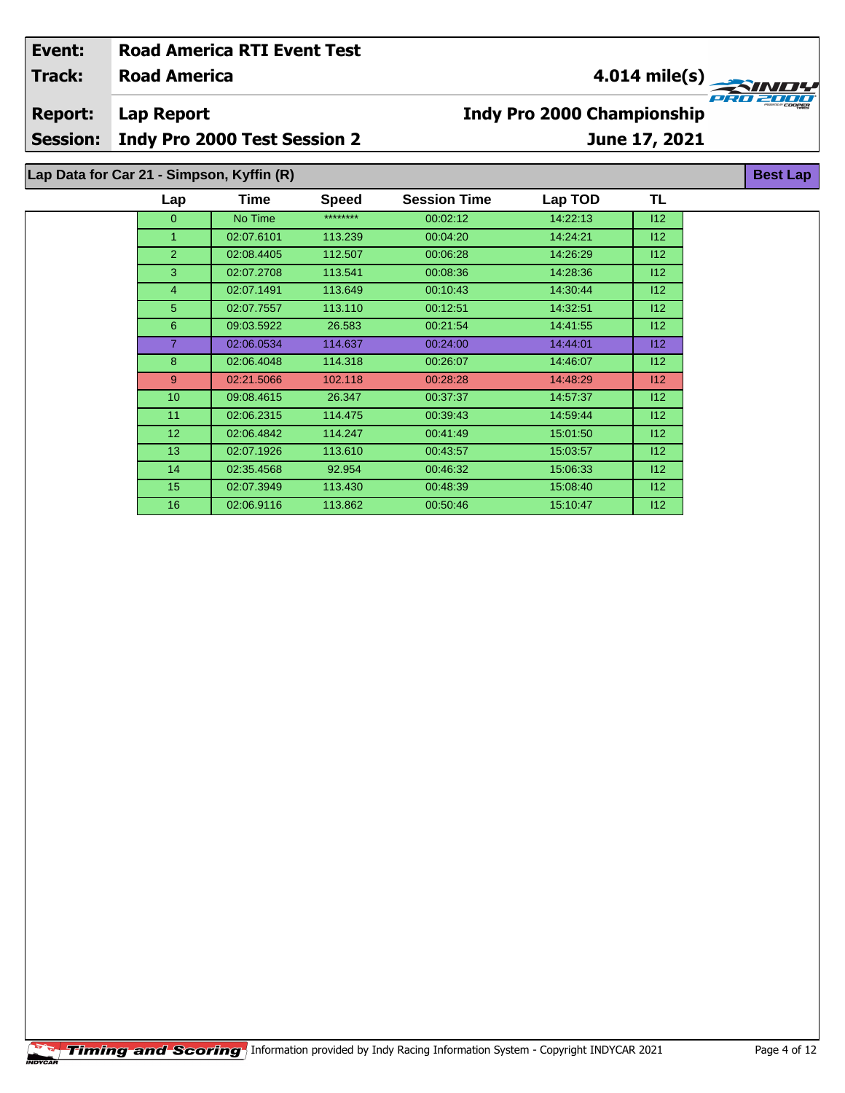| Event:          |                                           | <b>Road America RTI Event Test</b>  |              |                                   |          |     |                 |  |  |
|-----------------|-------------------------------------------|-------------------------------------|--------------|-----------------------------------|----------|-----|-----------------|--|--|
| <b>Track:</b>   | <b>Road America</b>                       |                                     |              | 4.014 mile(s) $-$                 |          |     |                 |  |  |
| <b>Report:</b>  | <b>Lap Report</b>                         |                                     |              | <b>Indy Pro 2000 Championship</b> |          |     |                 |  |  |
| <b>Session:</b> |                                           | <b>Indy Pro 2000 Test Session 2</b> |              | June 17, 2021                     |          |     |                 |  |  |
|                 | Lap Data for Car 21 - Simpson, Kyffin (R) |                                     |              |                                   |          |     | <b>Best Lap</b> |  |  |
|                 | Lap                                       | Time                                | <b>Speed</b> | <b>Session Time</b>               | Lap TOD  | TL  |                 |  |  |
|                 | $\overline{0}$                            | No Time                             | ********     | 00:02:12                          | 14:22:13 | 112 |                 |  |  |
|                 | 1.                                        | 02:07.6101                          | 113.239      | 00:04:20                          | 14:24:21 | 112 |                 |  |  |
|                 | $\overline{2}$                            | 02:08.4405                          | 112.507      | 00:06:28                          | 14:26:29 | 112 |                 |  |  |
|                 | 3                                         | 02:07.2708                          | 113.541      | 00:08:36                          | 14:28:36 | 112 |                 |  |  |
|                 | 4                                         | 02:07.1491                          | 113.649      | 00:10:43                          | 14:30:44 | 112 |                 |  |  |
|                 | 5                                         | 02:07.7557                          | 113.110      | 00:12:51                          | 14:32:51 | 112 |                 |  |  |
|                 | 6                                         | 09:03.5922                          | 26.583       | 00:21:54                          | 14:41:55 | 112 |                 |  |  |
|                 | 7                                         | 02:06.0534                          | 114.637      | 00:24:00                          | 14:44:01 | 112 |                 |  |  |
|                 | 8                                         | 02:06.4048                          | 114.318      | 00:26:07                          | 14:46:07 | 112 |                 |  |  |
|                 | 9                                         | 02:21.5066                          | 102.118      | 00:28:28                          | 14:48:29 | 112 |                 |  |  |
|                 | 10                                        | 09:08.4615                          | 26.347       | 00:37:37                          | 14:57:37 | 112 |                 |  |  |
|                 | 11                                        | 02:06.2315                          | 114.475      | 00:39:43                          | 14:59:44 | 112 |                 |  |  |
|                 | 12                                        | 02:06.4842                          | 114.247      | 00:41:49                          | 15:01:50 | 112 |                 |  |  |

 02:07.1926 113.610 00:43:57 15:03:57 I12 02:35.4568 92.954 00:46:32 15:06:33 I12 02:07.3949 113.430 00:48:39 15:08:40 I12 02:06.9116 113.862 00:50:46 15:10:47 I12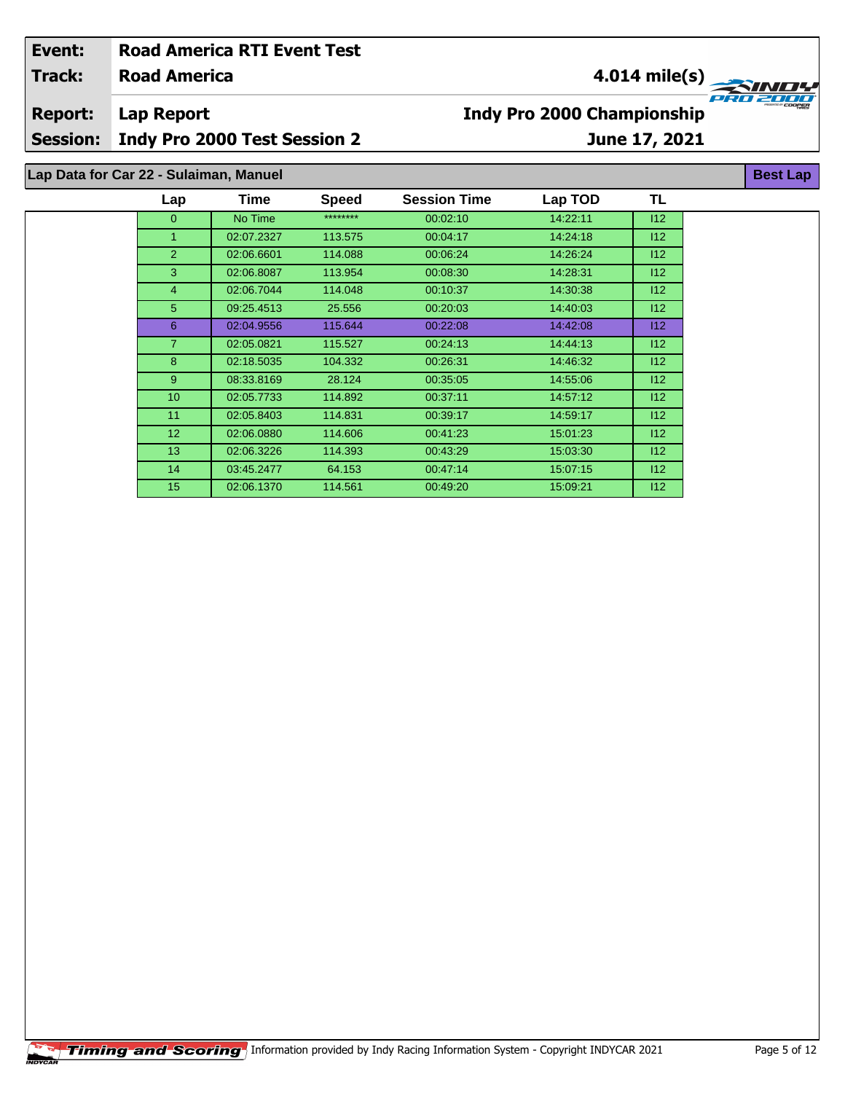| Event:<br><b>Track:</b> | <b>Road America</b>                    | <b>Road America RTI Event Test</b>  |              | $4.014$ mile(s)<br>-7 - 7 -<br><b>Indy Pro 2000 Championship</b><br>June 17, 2021 |          |     |                 |  |
|-------------------------|----------------------------------------|-------------------------------------|--------------|-----------------------------------------------------------------------------------|----------|-----|-----------------|--|
| <b>Report:</b>          | <b>Lap Report</b>                      |                                     |              |                                                                                   |          |     |                 |  |
| <b>Session:</b>         |                                        | <b>Indy Pro 2000 Test Session 2</b> |              |                                                                                   |          |     |                 |  |
|                         | Lap Data for Car 22 - Sulaiman, Manuel |                                     |              |                                                                                   |          |     | <b>Best Lap</b> |  |
|                         | Lap                                    | <b>Time</b>                         | <b>Speed</b> | <b>Session Time</b>                                                               | Lap TOD  | TL  |                 |  |
|                         | $\overline{0}$                         | No Time                             | ********     | 00:02:10                                                                          | 14:22:11 | 112 |                 |  |
|                         |                                        | 02:07.2327                          | 113.575      | 00:04:17                                                                          | 14:24:18 | 112 |                 |  |
|                         | $\overline{2}$                         | 02:06.6601                          | 114.088      | 00:06:24                                                                          | 14:26:24 | 112 |                 |  |
|                         | 3                                      | 02:06.8087                          | 113.954      | 00:08:30                                                                          | 14:28:31 | 112 |                 |  |
|                         | 4                                      | 02:06.7044                          | 114.048      | 00:10:37                                                                          | 14:30:38 | 112 |                 |  |
|                         | 5                                      | 09:25.4513                          | 25.556       | 00:20:03                                                                          | 14:40:03 | 112 |                 |  |
|                         | 6                                      | 02:04.9556                          | 115.644      | 00:22:08                                                                          | 14:42:08 | 112 |                 |  |
|                         | $\overline{7}$                         | 02:05.0821                          | 115.527      | 00:24:13                                                                          | 14:44:13 | 112 |                 |  |
|                         | 8                                      | 02:18.5035                          | 104.332      | 00:26:31                                                                          | 14:46:32 | 112 |                 |  |
|                         | 9                                      | 08:33.8169                          | 28.124       | 00:35:05                                                                          | 14:55:06 | 112 |                 |  |

 02:05.7733 114.892 00:37:11 14:57:12 I12 11 02:05.8403 114.831 00:39:17 14:59:17 14:59:17 12 02:06.0880 114.606 00:41:23 15:01:23 I12 02:06.3226 114.393 00:43:29 15:03:30 I12 03:45.2477 64.153 00:47:14 15:07:15 I12 02:06.1370 114.561 00:49:20 15:09:21 I12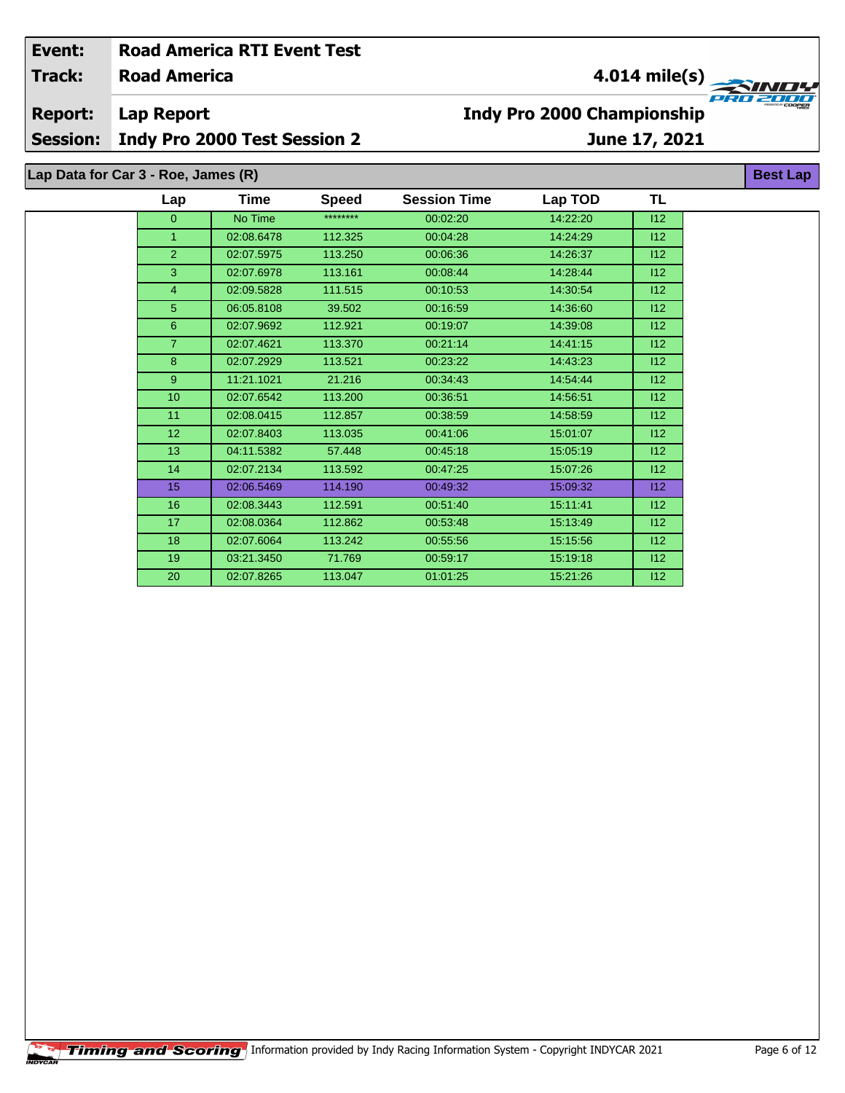| Event:                               | <b>Road America RTI Event Test</b>                |             |              |                                                    |          |     |  |                 |
|--------------------------------------|---------------------------------------------------|-------------|--------------|----------------------------------------------------|----------|-----|--|-----------------|
| <b>Road America</b><br><b>Track:</b> |                                                   |             |              | 4.014 mile(s) $-$<br><b>ZINDY</b>                  |          |     |  |                 |
| <b>Report:</b><br><b>Session:</b>    | Lap Report<br><b>Indy Pro 2000 Test Session 2</b> |             |              | <b>Indy Pro 2000 Championship</b><br>June 17, 2021 |          |     |  | PRO ZOCER       |
|                                      |                                                   |             |              |                                                    |          |     |  |                 |
|                                      | Lap Data for Car 3 - Roe, James (R)               |             |              |                                                    |          |     |  | <b>Best Lap</b> |
|                                      | Lap                                               | <b>Time</b> | <b>Speed</b> | <b>Session Time</b>                                | Lap TOD  | TL  |  |                 |
|                                      | 0                                                 | No Time     | ********     | 00:02:20                                           | 14:22:20 | 112 |  |                 |

 02:08.6478 112.325 00:04:28 14:24:29 I12 02:07.5975 113.250 00:06:36 14:26:37 I12 02:07.6978 113.161 00:08:44 14:28:44 I12 02:09.5828 111.515 00:10:53 14:30:54 I12 06:05.8108 39.502 00:16:59 14:36:60 I12 02:07.9692 112.921 00:19:07 14:39:08 I12 02:07.4621 113.370 00:21:14 14:41:15 I12 02:07.2929 113.521 00:23:22 14:43:23 I12 11:21.1021 21.216 00:34:43 14:54:44 I12 02:07.6542 113.200 00:36:51 14:56:51 I12 11 02:08.0415 112.857 00:38:59 14:58:59 14:58:59 02:07.8403 113.035 00:41:06 15:01:07 I12 04:11.5382 57.448 00:45:18 15:05:19 I12 02:07.2134 113.592 00:47:25 15:07:26 I12 15 02:06.5469 114.190 00:49:32 15:09:32 15:09:32 12 02:08.3443 112.591 00:51:40 15:11:41 I12 02:08.0364 112.862 00:53:48 15:13:49 I12 02:07.6064 113.242 00:55:56 15:15:56 I12 03:21.3450 71.769 00:59:17 15:19:18 I12 02:07.8265 113.047 01:01:25 15:21:26 I12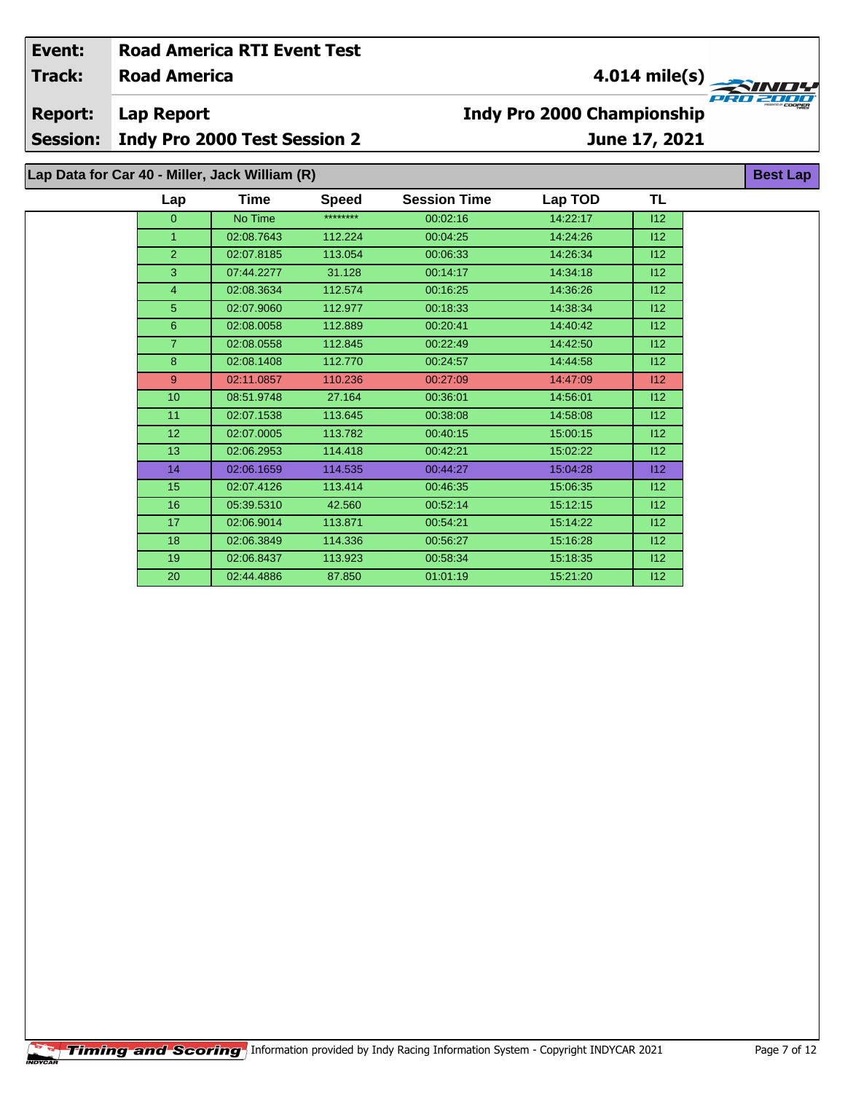| Event:          |                                                | <b>Road America RTI Event Test</b>  |              |                                                    |          |               |                 |  |  |
|-----------------|------------------------------------------------|-------------------------------------|--------------|----------------------------------------------------|----------|---------------|-----------------|--|--|
| <b>Track:</b>   | <b>Road America</b>                            |                                     |              | 4.014 mile(s)<br><b>Indy Pro 2000 Championship</b> |          |               |                 |  |  |
| <b>Report:</b>  | <b>Lap Report</b>                              |                                     |              |                                                    |          |               |                 |  |  |
| <b>Session:</b> |                                                | <b>Indy Pro 2000 Test Session 2</b> |              |                                                    |          | June 17, 2021 |                 |  |  |
|                 | Lap Data for Car 40 - Miller, Jack William (R) |                                     |              |                                                    |          |               | <b>Best Lap</b> |  |  |
|                 | Lap                                            | Time                                | <b>Speed</b> | <b>Session Time</b>                                | Lap TOD  | <b>TL</b>     |                 |  |  |
|                 | $\overline{0}$                                 | No Time                             | ********     | 00:02:16                                           | 14:22:17 | 112           |                 |  |  |
|                 | $\mathbf{1}$                                   | 02:08.7643                          | 112.224      | 00:04:25                                           | 14:24:26 | 112           |                 |  |  |
|                 | $\overline{2}$                                 | 02:07.8185                          | 113.054      | 00:06:33                                           | 14:26:34 | 112           |                 |  |  |
|                 | 3                                              | 07:44.2277                          | 31.128       | 00:14:17                                           | 14:34:18 | 112           |                 |  |  |
|                 | $\overline{4}$                                 | 02:08.3634                          | 112.574      | 00:16:25                                           | 14:36:26 | 112           |                 |  |  |
|                 | 5                                              | 02:07.9060                          | 112.977      | 00:18:33                                           | 14:38:34 | 112           |                 |  |  |
|                 | 6                                              | 02:08.0058                          | 112.889      | 00:20:41                                           | 14:40:42 | 112           |                 |  |  |
|                 | $\overline{7}$                                 | 02:08.0558                          | 112.845      | 00:22:49                                           | 14:42:50 | 112           |                 |  |  |
|                 | 8                                              | 02:08.1408                          | 112.770      | 00:24:57                                           | 14:44:58 | 112           |                 |  |  |
|                 | 9                                              | 02:11.0857                          | 110.236      | 00:27:09                                           | 14:47:09 | 112           |                 |  |  |
|                 | 10                                             | 08:51.9748                          | 27.164       | 00:36:01                                           | 14:56:01 | 112           |                 |  |  |
|                 | 11                                             | 02:07.1538                          | 113.645      | 00:38:08                                           | 14:58:08 | 112           |                 |  |  |
|                 | 12                                             | 02:07.0005                          | 113.782      | 00:40:15                                           | 15:00:15 | 112           |                 |  |  |
|                 | 13                                             | 02:06.2953                          | 114.418      | 00:42:21                                           | 15:02:22 | 112           |                 |  |  |
|                 | 14                                             | 02:06.1659                          | 114.535      | 00:44:27                                           | 15:04:28 | 112           |                 |  |  |
|                 | 15                                             | 02:07.4126                          | 113.414      | 00:46:35                                           | 15:06:35 | 112           |                 |  |  |

 05:39.5310 42.560 00:52:14 15:12:15 I12 17 02:06.9014 113.871 00:54:21 15:14:22 112 02:06.3849 114.336 00:56:27 15:16:28 I12 02:06.8437 113.923 00:58:34 15:18:35 I12 02:44.4886 87.850 01:01:19 15:21:20 I12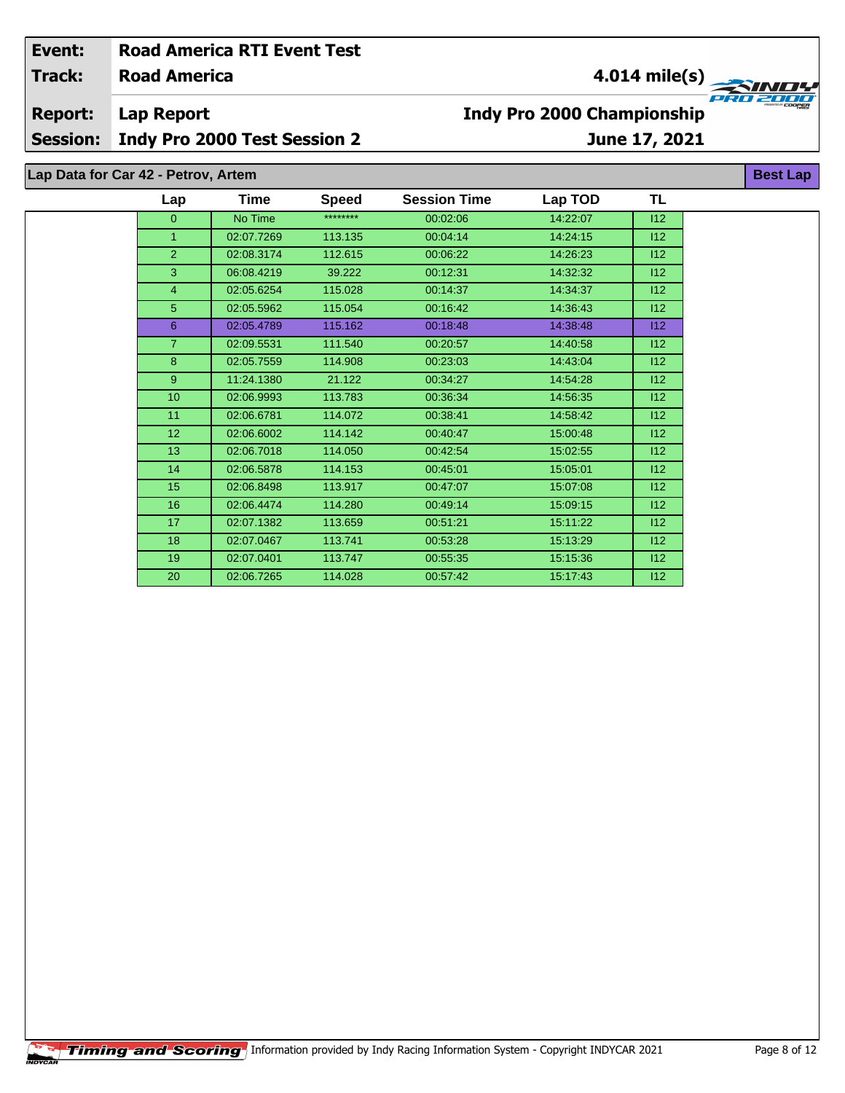## **Road America Lap Report June 17, 2021 Event: Road America RTI Event Test Track: Report: Session: Indy Pro 2000 Test Session 2 Indy Pro 2000 Championship 4.014 mile(s) Best Lap Lap Time Speed Session Time Lap TOD Lap Data for Car 42 - Petrov, Artem TL**

| Lap             | Time       | <b>Speed</b> | <b>Session Time</b> | Lap TOD  | TL  |
|-----------------|------------|--------------|---------------------|----------|-----|
| $\Omega$        | No Time    | ********     | 00:02:06            | 14:22:07 | 112 |
| $\mathbf{1}$    | 02:07.7269 | 113.135      | 00:04:14            | 14:24:15 | 112 |
| 2               | 02:08.3174 | 112.615      | 00:06:22            | 14:26:23 | 112 |
| 3               | 06:08.4219 | 39.222       | 00:12:31            | 14:32:32 | 112 |
| $\overline{4}$  | 02:05.6254 | 115.028      | 00:14:37            | 14:34:37 | 112 |
| 5               | 02:05.5962 | 115.054      | 00:16:42            | 14:36:43 | 112 |
| 6               | 02:05.4789 | 115.162      | 00:18:48            | 14:38:48 | 112 |
| $\overline{7}$  | 02:09.5531 | 111.540      | 00:20:57            | 14:40:58 | 112 |
| 8               | 02:05.7559 | 114.908      | 00:23:03            | 14:43:04 | 112 |
| 9               | 11:24.1380 | 21.122       | 00:34:27            | 14:54:28 | 112 |
| 10              | 02:06.9993 | 113.783      | 00:36:34            | 14:56:35 | 112 |
| 11              | 02:06.6781 | 114.072      | 00:38:41            | 14:58:42 | 112 |
| 12 <sup>°</sup> | 02:06.6002 | 114.142      | 00:40:47            | 15:00:48 | 112 |
| 13              | 02:06.7018 | 114.050      | 00:42:54            | 15:02:55 | 112 |
| 14              | 02:06.5878 | 114.153      | 00:45:01            | 15:05:01 | 112 |
| 15 <sub>2</sub> | 02:06.8498 | 113.917      | 00:47:07            | 15:07:08 | 112 |
| 16              | 02:06.4474 | 114.280      | 00:49:14            | 15:09:15 | 112 |
| 17              | 02:07.1382 | 113.659      | 00:51:21            | 15:11:22 | 112 |
| 18              | 02:07.0467 | 113.741      | 00:53:28            | 15:13:29 | 112 |
| 19              | 02:07.0401 | 113.747      | 00:55:35            | 15:15:36 | 112 |
| 20              | 02:06.7265 | 114.028      | 00:57:42            | 15:17:43 | 112 |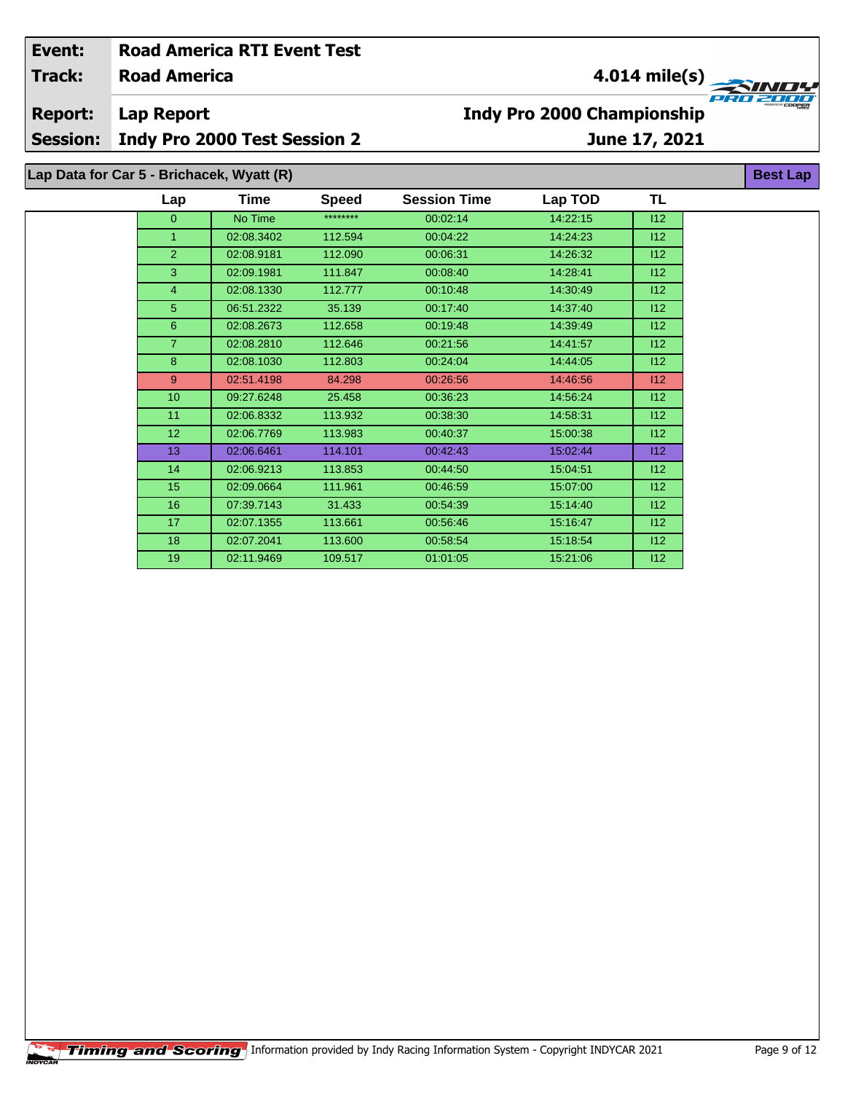| Event:          |                                           | <b>Road America RTI Event Test</b>  |              |                                   |          |     |                 |  |  |
|-----------------|-------------------------------------------|-------------------------------------|--------------|-----------------------------------|----------|-----|-----------------|--|--|
| <b>Track:</b>   | <b>Road America</b>                       |                                     |              | $4.014$ mile(s)                   |          |     |                 |  |  |
| <b>Report:</b>  | <b>Lap Report</b>                         |                                     |              | <b>Indy Pro 2000 Championship</b> |          |     |                 |  |  |
| <b>Session:</b> |                                           | <b>Indy Pro 2000 Test Session 2</b> |              | June 17, 2021                     |          |     |                 |  |  |
|                 | Lap Data for Car 5 - Brichacek, Wyatt (R) |                                     |              |                                   |          |     | <b>Best Lap</b> |  |  |
|                 | Lap                                       | Time                                | <b>Speed</b> | <b>Session Time</b>               | Lap TOD  | TL  |                 |  |  |
|                 | $\mathbf{0}$                              | No Time                             | ********     | 00:02:14                          | 14:22:15 | 112 |                 |  |  |
|                 |                                           | 02:08.3402                          | 112.594      | 00:04:22                          | 14:24:23 | 112 |                 |  |  |
|                 | $\overline{2}$                            | 02:08.9181                          | 112.090      | 00:06:31                          | 14:26:32 | 112 |                 |  |  |
|                 | 3                                         | 02:09.1981                          | 111.847      | 00:08:40                          | 14:28:41 | 112 |                 |  |  |
|                 | 4                                         | 02:08.1330                          | 112.777      | 00:10:48                          | 14:30:49 | 112 |                 |  |  |
|                 | 5                                         | 06:51.2322                          | 35.139       | 00:17:40                          | 14.37.40 | 112 |                 |  |  |
|                 | 6                                         | 02:08.2673                          | 112.658      | 00:19:48                          | 14:39:49 | 112 |                 |  |  |
|                 | $\overline{7}$                            | 02:08.2810                          | 112.646      | 00:21:56                          | 14:41:57 | 112 |                 |  |  |
|                 | 8                                         | 02:08.1030                          | 112.803      | 00:24:04                          | 14:44:05 | 112 |                 |  |  |
|                 | 9                                         | 02:51.4198                          | 84.298       | 00:26:56                          | 14:46:56 | 112 |                 |  |  |
|                 | 10                                        | 09:27.6248                          | 25.458       | 00:36:23                          | 14:56:24 | 112 |                 |  |  |
|                 | 11                                        | 02:06.8332                          | 113.932      | 00:38:30                          | 14:58:31 | 112 |                 |  |  |
|                 | 12                                        | 02:06.7769                          | 113.983      | 00:40:37                          | 15:00:38 | 112 |                 |  |  |

 02:06.6461 114.101 00:42:43 15:02:44 I12 02:06.9213 113.853 00:44:50 15:04:51 I12 02:09.0664 111.961 00:46:59 15:07:00 I12 07:39.7143 31.433 00:54:39 15:14:40 I12 02:07.1355 113.661 00:56:46 15:16:47 I12 02:07.2041 113.600 00:58:54 15:18:54 I12 02:11.9469 109.517 01:01:05 15:21:06 I12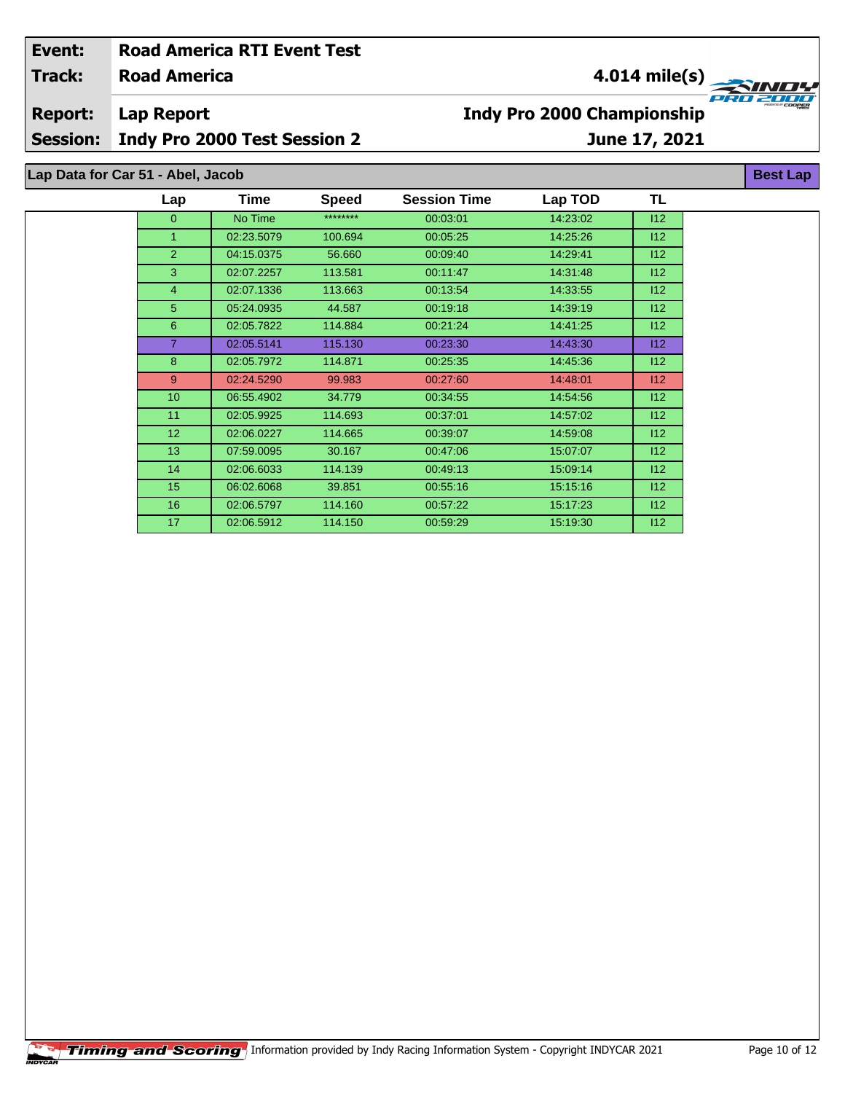| Event:          | <b>Road America RTI Event Test</b>  |      |              |                                               |         |               |                 |  |  |
|-----------------|-------------------------------------|------|--------------|-----------------------------------------------|---------|---------------|-----------------|--|--|
| Track:          | <b>Road America</b>                 |      |              | $4.014 \text{ mile(s)}$                       |         |               |                 |  |  |
| <b>Report:</b>  | Lap Report                          |      |              | PRO 2008<br><b>Indy Pro 2000 Championship</b> |         |               |                 |  |  |
|                 |                                     |      |              |                                               |         |               |                 |  |  |
| <b>Session:</b> | <b>Indy Pro 2000 Test Session 2</b> |      |              |                                               |         | June 17, 2021 |                 |  |  |
|                 | Lap Data for Car 51 - Abel, Jacob   |      |              |                                               |         |               | <b>Best Lap</b> |  |  |
|                 | Lap                                 | Time | <b>Speed</b> | <b>Session Time</b>                           | Lap TOD | TL            |                 |  |  |

| $\Omega$        | No Time    | ******** | 00:03:01 | 14:23:02 | 112 |
|-----------------|------------|----------|----------|----------|-----|
| 1               | 02:23.5079 | 100.694  | 00:05:25 | 14:25:26 | 112 |
| $\overline{2}$  | 04:15.0375 | 56.660   | 00:09:40 | 14:29:41 | 112 |
| 3               | 02:07.2257 | 113.581  | 00:11:47 | 14:31:48 | 112 |
| $\overline{4}$  | 02:07.1336 | 113.663  | 00:13:54 | 14:33:55 | 112 |
| 5               | 05:24.0935 | 44.587   | 00:19:18 | 14:39:19 | 112 |
| 6               | 02:05.7822 | 114.884  | 00:21:24 | 14:41:25 | 112 |
| $\overline{7}$  | 02:05.5141 | 115.130  | 00:23:30 | 14.43.30 | 112 |
| 8               | 02:05.7972 | 114.871  | 00:25:35 | 14:45:36 | 112 |
| 9               | 02:24.5290 | 99.983   | 00:27:60 | 14:48:01 | 112 |
| 10 <sup>°</sup> | 06:55.4902 | 34.779   | 00:34:55 | 14.54.56 | 112 |
| 11              | 02:05.9925 | 114.693  | 00.37.01 | 14.57.02 | 112 |
| 12 <sup>2</sup> | 02:06.0227 | 114.665  | 00:39:07 | 14:59:08 | 112 |
| 13              | 07:59.0095 | 30.167   | 00:47:06 | 15:07:07 | 112 |
| 14              | 02:06.6033 | 114.139  | 00:49:13 | 15:09:14 | 112 |
| 15 <sub>1</sub> | 06:02.6068 | 39.851   | 00:55:16 | 15:15:16 | 112 |
| 16              | 02:06.5797 | 114.160  | 00:57:22 | 15:17:23 | 112 |
| 17              | 02:06.5912 | 114.150  | 00:59:29 | 15.19.30 | 112 |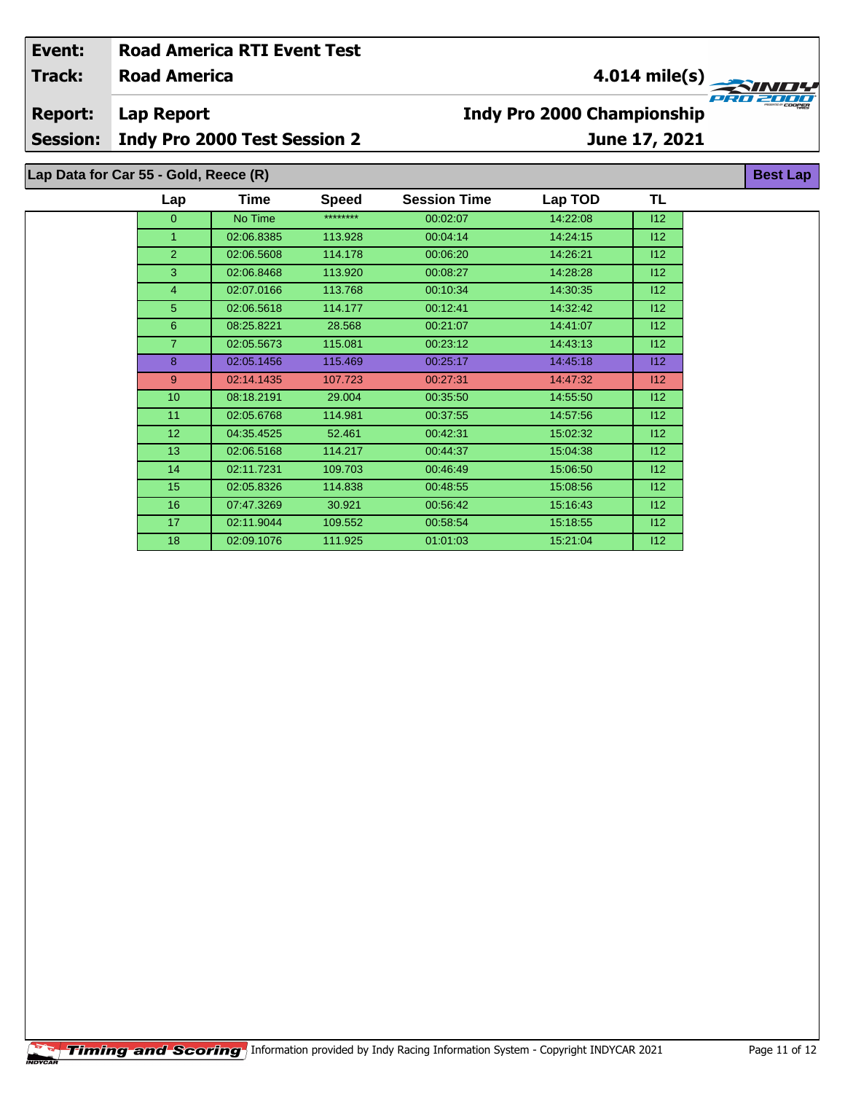| Event:<br><b>Track:</b> | <b>Road America</b>                   | <b>Road America RTI Event Test</b> |              | 4.014 mile(s)<br>E E T<br><b>Indy Pro 2000 Championship</b> |          |     |                 |  |  |
|-------------------------|---------------------------------------|------------------------------------|--------------|-------------------------------------------------------------|----------|-----|-----------------|--|--|
| <b>Report:</b>          | Lap Report                            |                                    |              |                                                             |          |     |                 |  |  |
| <b>Session:</b>         | <b>Indy Pro 2000 Test Session 2</b>   |                                    |              | June 17, 2021                                               |          |     |                 |  |  |
|                         | Lap Data for Car 55 - Gold, Reece (R) |                                    |              |                                                             |          |     | <b>Best Lap</b> |  |  |
|                         | Lap                                   | Time                               | <b>Speed</b> | <b>Session Time</b>                                         | Lap TOD  | TL  |                 |  |  |
|                         | $\mathbf{0}$                          | No Time                            | ********     | 00:02:07                                                    | 14:22:08 | 112 |                 |  |  |
|                         |                                       | 02:06.8385                         | 113.928      | 00:04:14                                                    | 14:24:15 | 112 |                 |  |  |
|                         | $\overline{2}$                        | 02:06.5608                         | 114.178      | 00:06:20                                                    | 14:26:21 | 112 |                 |  |  |
|                         | 3                                     | 02:06.8468                         | 113.920      | 00:08:27                                                    | 14:28:28 | 112 |                 |  |  |
|                         | 4                                     | 02:07.0166                         | 113.768      | 00:10:34                                                    | 14:30:35 | 112 |                 |  |  |
|                         | 5                                     | 02:06.5618                         | 114.177      | 00:12:41                                                    | 14:32:42 | 112 |                 |  |  |
|                         | 6                                     | 08:25.8221                         | 28.568       | 00:21:07                                                    | 14:41:07 | 112 |                 |  |  |
|                         |                                       | 02:05.5673                         | 115.081      | 00:23:12                                                    | 14:43:13 | 112 |                 |  |  |
|                         | 8                                     | 02:05.1456                         | 115.469      | 00:25:17                                                    | 14:45:18 | 112 |                 |  |  |

 02:14.1435 107.723 00:27:31 14:47:32 I12 10 08:18.2191 29.004 00:35:50 14:55:50 12 02:05.6768 114.981 00:37:55 14:57:56 I12 04:35.4525 52.461 00:42:31 15:02:32 I12 13 02:06.5168 114.217 00:44:37 15:04:38 112 14 02:11.7231 109.703 00:46:49 15:06:50 112 02:05.8326 114.838 00:48:55 15:08:56 I12 07:47.3269 30.921 00:56:42 15:16:43 I12 02:11.9044 109.552 00:58:54 15:18:55 I12 02:09.1076 111.925 01:01:03 15:21:04 I12